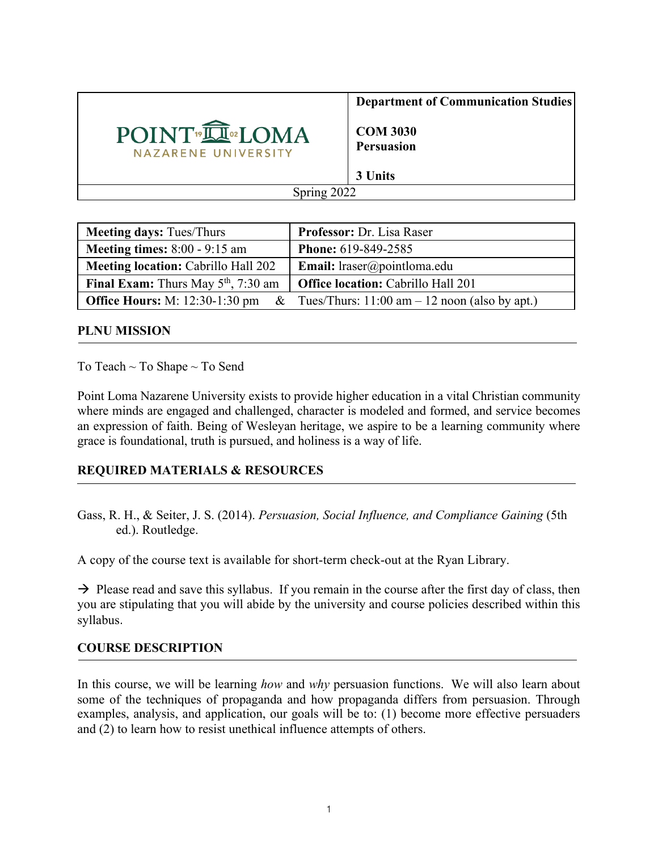

**Department of Communication Studies**

**COM 3030 Persuasion**

| <b>Meeting days: Tues/Thurs</b>                   | Professor: Dr. Lisa Raser                        |
|---------------------------------------------------|--------------------------------------------------|
| <b>Meeting times:</b> $8:00 - 9:15$ am            | <b>Phone: 619-849-2585</b>                       |
| <b>Meeting location: Cabrillo Hall 202</b>        | Email: lraser@pointloma.edu                      |
| <b>Final Exam:</b> Thurs May $5th$ , 7:30 am      | <b>Office location:</b> Cabrillo Hall 201        |
| <b>Office Hours:</b> M: 12:30-1:30 pm<br>$\alpha$ | Tues/Thurs: $11:00$ am $-12$ noon (also by apt.) |

#### **PLNU MISSION**

To Teach ~ To Shape ~ To Send

Point Loma Nazarene University exists to provide higher education in a vital Christian community where minds are engaged and challenged, character is modeled and formed, and service becomes an expression of faith. Being of Wesleyan heritage, we aspire to be a learning community where grace is foundational, truth is pursued, and holiness is a way of life.

# **REQUIRED MATERIALS & RESOURCES**

Gass, R. H., & Seiter, J. S. (2014). *Persuasion, Social Influence, and Compliance Gaining* (5th ed.). Routledge.

A copy of the course text is available for short-term check-out at the Ryan Library.

 $\rightarrow$  Please read and save this syllabus. If you remain in the course after the first day of class, then you are stipulating that you will abide by the university and course policies described within this syllabus.

# **COURSE DESCRIPTION**

In this course, we will be learning *how* and *why* persuasion functions. We will also learn about some of the techniques of propaganda and how propaganda differs from persuasion. Through examples, analysis, and application, our goals will be to: (1) become more effective persuaders and (2) to learn how to resist unethical influence attempts of others.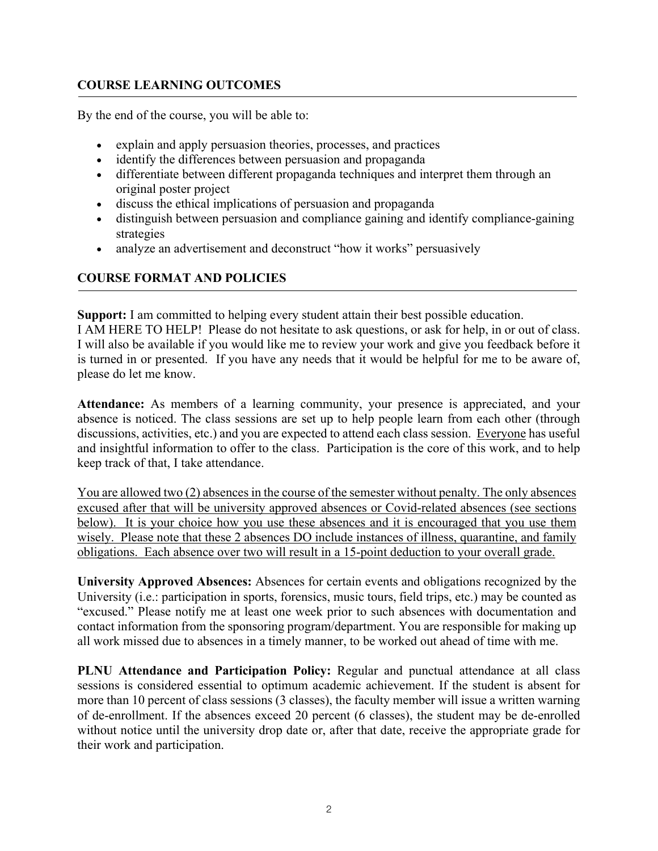## **COURSE LEARNING OUTCOMES**

By the end of the course, you will be able to:

- explain and apply persuasion theories, processes, and practices
- identify the differences between persuasion and propaganda
- differentiate between different propaganda techniques and interpret them through an original poster project
- discuss the ethical implications of persuasion and propaganda
- distinguish between persuasion and compliance gaining and identify compliance-gaining strategies
- analyze an advertisement and deconstruct "how it works" persuasively

## **COURSE FORMAT AND POLICIES**

**Support:** I am committed to helping every student attain their best possible education.

I AM HERE TO HELP! Please do not hesitate to ask questions, or ask for help, in or out of class. I will also be available if you would like me to review your work and give you feedback before it is turned in or presented. If you have any needs that it would be helpful for me to be aware of, please do let me know.

**Attendance:** As members of a learning community, your presence is appreciated, and your absence is noticed. The class sessions are set up to help people learn from each other (through discussions, activities, etc.) and you are expected to attend each class session. Everyone has useful and insightful information to offer to the class. Participation is the core of this work, and to help keep track of that, I take attendance.

You are allowed two (2) absences in the course of the semester without penalty. The only absences excused after that will be university approved absences or Covid-related absences (see sections below). It is your choice how you use these absences and it is encouraged that you use them wisely. Please note that these 2 absences DO include instances of illness, quarantine, and family obligations. Each absence over two will result in a 15-point deduction to your overall grade.

**University Approved Absences:** Absences for certain events and obligations recognized by the University (i.e.: participation in sports, forensics, music tours, field trips, etc.) may be counted as "excused." Please notify me at least one week prior to such absences with documentation and contact information from the sponsoring program/department. You are responsible for making up all work missed due to absences in a timely manner, to be worked out ahead of time with me.

**PLNU Attendance and Participation Policy:** Regular and punctual attendance at all class sessions is considered essential to optimum academic achievement. If the student is absent for more than 10 percent of class sessions (3 classes), the faculty member will issue a written warning of de-enrollment. If the absences exceed 20 percent (6 classes), the student may be de-enrolled without notice until the university drop date or, after that date, receive the appropriate grade for their work and participation.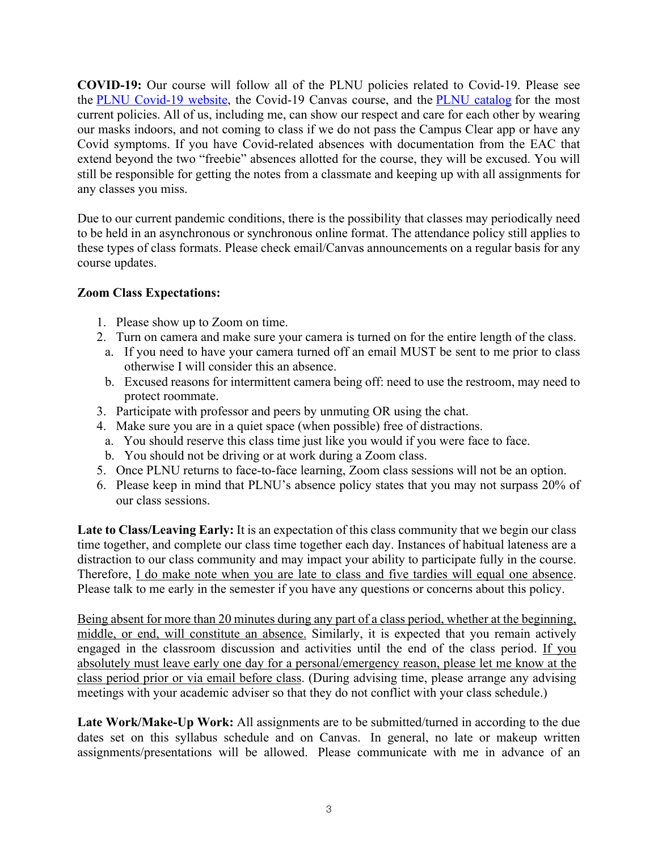**COVID-19:** Our course will follow all of the PLNU policies related to Covid-19. Please see the PLNU Covid-19 website, the Covid-19 Canvas course, and the PLNU catalog for the most current policies. All of us, including me, can show our respect and care for each other by wearing our masks indoors, and not coming to class if we do not pass the Campus Clear app or have any Covid symptoms. If you have Covid-related absences with documentation from the EAC that extend beyond the two "freebie" absences allotted for the course, they will be excused. You will still be responsible for getting the notes from a classmate and keeping up with all assignments for any classes you miss.

Due to our current pandemic conditions, there is the possibility that classes may periodically need to be held in an asynchronous or synchronous online format. The attendance policy still applies to these types of class formats. Please check email/Canvas announcements on a regular basis for any course updates.

#### **Zoom Class Expectations:**

- 1. Please show up to Zoom on time.
- 2. Turn on camera and make sure your camera is turned on for the entire length of the class.
- a. If you need to have your camera turned off an email MUST be sent to me prior to class otherwise I will consider this an absence.
- b. Excused reasons for intermittent camera being off: need to use the restroom, may need to protect roommate.
- 3. Participate with professor and peers by unmuting OR using the chat.
- 4. Make sure you are in a quiet space (when possible) free of distractions.
- a. You should reserve this class time just like you would if you were face to face.
- b. You should not be driving or at work during a Zoom class.
- 5. Once PLNU returns to face-to-face learning, Zoom class sessions will not be an option.
- 6. Please keep in mind that PLNU's absence policy states that you may not surpass 20% of our class sessions.

**Late to Class/Leaving Early:** It is an expectation of this class community that we begin our class time together, and complete our class time together each day. Instances of habitual lateness are a distraction to our class community and may impact your ability to participate fully in the course. Therefore, I do make note when you are late to class and five tardies will equal one absence. Please talk to me early in the semester if you have any questions or concerns about this policy.

Being absent for more than 20 minutes during any part of a class period, whether at the beginning, middle, or end, will constitute an absence. Similarly, it is expected that you remain actively engaged in the classroom discussion and activities until the end of the class period. If you absolutely must leave early one day for a personal/emergency reason, please let me know at the class period prior or via email before class. (During advising time, please arrange any advising meetings with your academic adviser so that they do not conflict with your class schedule.)

Late Work/Make-Up Work: All assignments are to be submitted/turned in according to the due dates set on this syllabus schedule and on Canvas. In general, no late or makeup written assignments/presentations will be allowed. Please communicate with me in advance of an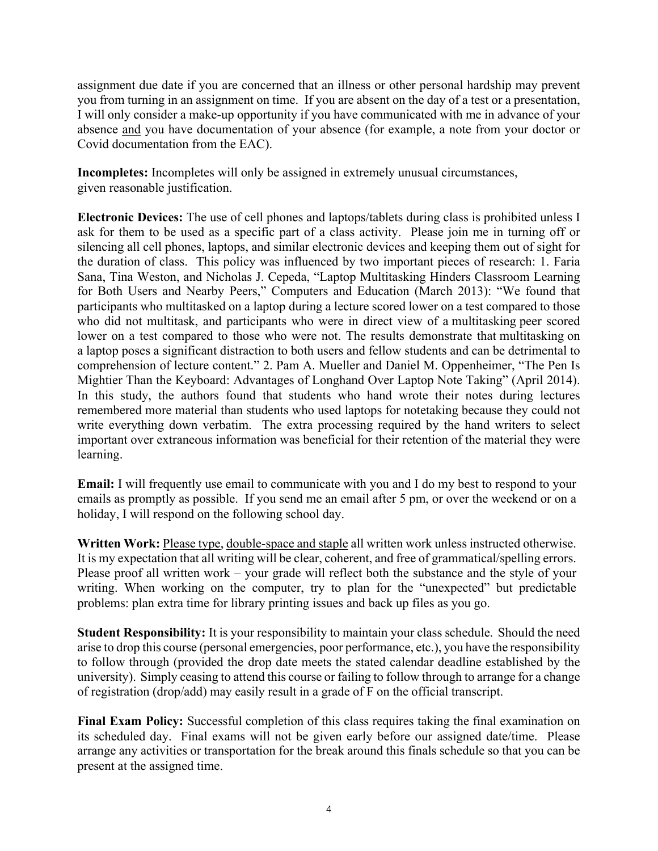assignment due date if you are concerned that an illness or other personal hardship may prevent you from turning in an assignment on time. If you are absent on the day of a test or a presentation, I will only consider a make-up opportunity if you have communicated with me in advance of your absence and you have documentation of your absence (for example, a note from your doctor or Covid documentation from the EAC).

**Incompletes:** Incompletes will only be assigned in extremely unusual circumstances, given reasonable justification.

**Electronic Devices:** The use of cell phones and laptops/tablets during class is prohibited unless I ask for them to be used as a specific part of a class activity. Please join me in turning off or silencing all cell phones, laptops, and similar electronic devices and keeping them out of sight for the duration of class. This policy was influenced by two important pieces of research: 1. Faria Sana, Tina Weston, and Nicholas J. Cepeda, "Laptop Multitasking Hinders Classroom Learning for Both Users and Nearby Peers," Computers and Education (March 2013): "We found that participants who multitasked on a laptop during a lecture scored lower on a test compared to those who did not multitask, and participants who were in direct view of a multitasking peer scored lower on a test compared to those who were not. The results demonstrate that multitasking on a laptop poses a significant distraction to both users and fellow students and can be detrimental to comprehension of lecture content." 2. Pam A. Mueller and Daniel M. Oppenheimer, "The Pen Is Mightier Than the Keyboard: Advantages of Longhand Over Laptop Note Taking" (April 2014). In this study, the authors found that students who hand wrote their notes during lectures remembered more material than students who used laptops for notetaking because they could not write everything down verbatim. The extra processing required by the hand writers to select important over extraneous information was beneficial for their retention of the material they were learning.

**Email:** I will frequently use email to communicate with you and I do my best to respond to your emails as promptly as possible. If you send me an email after 5 pm, or over the weekend or on a holiday, I will respond on the following school day.

**Written Work:** Please type, double-space and staple all written work unless instructed otherwise. It is my expectation that all writing will be clear, coherent, and free of grammatical/spelling errors. Please proof all written work – your grade will reflect both the substance and the style of your writing. When working on the computer, try to plan for the "unexpected" but predictable problems: plan extra time for library printing issues and back up files as you go.

**Student Responsibility:** It is your responsibility to maintain your class schedule. Should the need arise to drop this course (personal emergencies, poor performance, etc.), you have the responsibility to follow through (provided the drop date meets the stated calendar deadline established by the university). Simply ceasing to attend this course or failing to follow through to arrange for a change of registration (drop/add) may easily result in a grade of F on the official transcript.

**Final Exam Policy:** Successful completion of this class requires taking the final examination on its scheduled day. Final exams will not be given early before our assigned date/time. Please arrange any activities or transportation for the break around this finals schedule so that you can be present at the assigned time.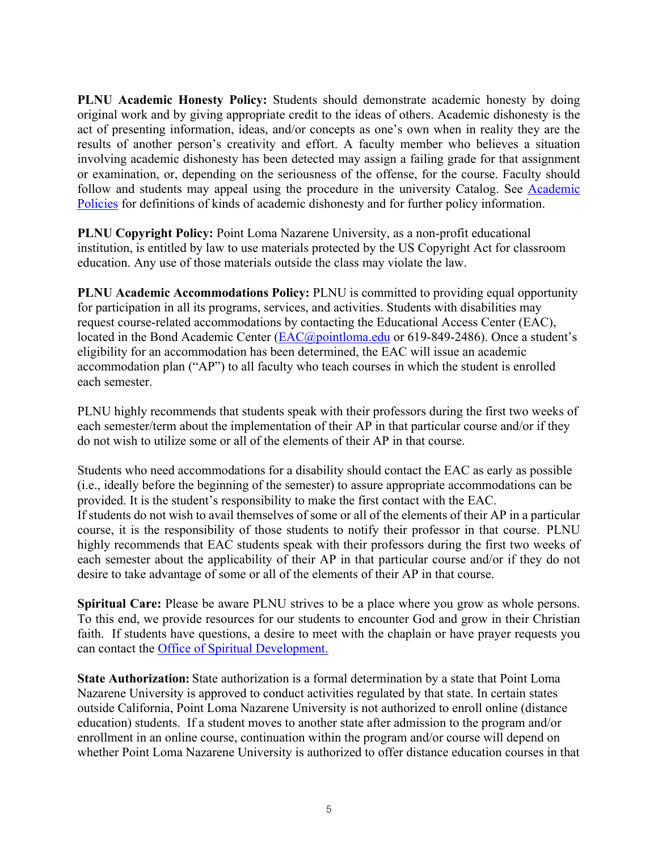**PLNU Academic Honesty Policy:** Students should demonstrate academic honesty by doing original work and by giving appropriate credit to the ideas of others. Academic dishonesty is the act of presenting information, ideas, and/or concepts as one's own when in reality they are the results of another person's creativity and effort. A faculty member who believes a situation involving academic dishonesty has been detected may assign a failing grade for that assignment or examination, or, depending on the seriousness of the offense, for the course. Faculty should follow and students may appeal using the procedure in the university Catalog. See Academic Policies for definitions of kinds of academic dishonesty and for further policy information.

**PLNU Copyright Policy:** Point Loma Nazarene University, as a non-profit educational institution, is entitled by law to use materials protected by the US Copyright Act for classroom education. Any use of those materials outside the class may violate the law.

**PLNU Academic Accommodations Policy:** PLNU is committed to providing equal opportunity for participation in all its programs, services, and activities. Students with disabilities may request course-related accommodations by contacting the Educational Access Center (EAC), located in the Bond Academic Center (EAC@pointloma.edu or 619-849-2486). Once a student's eligibility for an accommodation has been determined, the EAC will issue an academic accommodation plan ("AP") to all faculty who teach courses in which the student is enrolled each semester.

PLNU highly recommends that students speak with their professors during the first two weeks of each semester/term about the implementation of their AP in that particular course and/or if they do not wish to utilize some or all of the elements of their AP in that course.

Students who need accommodations for a disability should contact the EAC as early as possible (i.e., ideally before the beginning of the semester) to assure appropriate accommodations can be provided. It is the student's responsibility to make the first contact with the EAC. If students do not wish to avail themselves of some or all of the elements of their AP in a particular course, it is the responsibility of those students to notify their professor in that course. PLNU highly recommends that EAC students speak with their professors during the first two weeks of each semester about the applicability of their AP in that particular course and/or if they do not desire to take advantage of some or all of the elements of their AP in that course.

**Spiritual Care:** Please be aware PLNU strives to be a place where you grow as whole persons. To this end, we provide resources for our students to encounter God and grow in their Christian faith. If students have questions, a desire to meet with the chaplain or have prayer requests you can contact the Office of Spiritual Development.

**State Authorization:** State authorization is a formal determination by a state that Point Loma Nazarene University is approved to conduct activities regulated by that state. In certain states outside California, Point Loma Nazarene University is not authorized to enroll online (distance education) students. If a student moves to another state after admission to the program and/or enrollment in an online course, continuation within the program and/or course will depend on whether Point Loma Nazarene University is authorized to offer distance education courses in that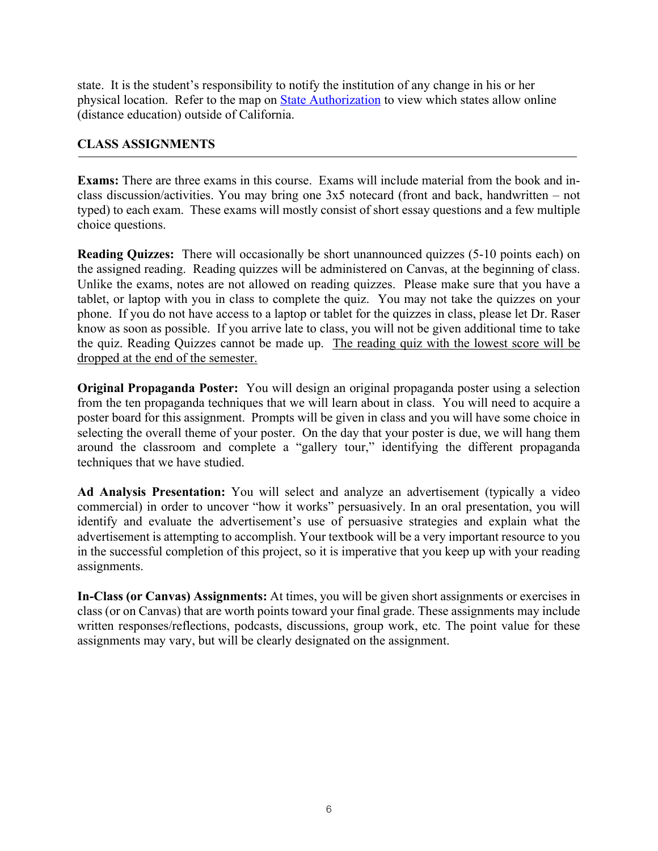state. It is the student's responsibility to notify the institution of any change in his or her physical location. Refer to the map on State Authorization to view which states allow online (distance education) outside of California.

#### **CLASS ASSIGNMENTS**

**Exams:** There are three exams in this course. Exams will include material from the book and inclass discussion/activities. You may bring one 3x5 notecard (front and back, handwritten – not typed) to each exam. These exams will mostly consist of short essay questions and a few multiple choice questions.

**Reading Quizzes:** There will occasionally be short unannounced quizzes (5-10 points each) on the assigned reading. Reading quizzes will be administered on Canvas, at the beginning of class. Unlike the exams, notes are not allowed on reading quizzes. Please make sure that you have a tablet, or laptop with you in class to complete the quiz. You may not take the quizzes on your phone. If you do not have access to a laptop or tablet for the quizzes in class, please let Dr. Raser know as soon as possible. If you arrive late to class, you will not be given additional time to take the quiz. Reading Quizzes cannot be made up. The reading quiz with the lowest score will be dropped at the end of the semester.

**Original Propaganda Poster:** You will design an original propaganda poster using a selection from the ten propaganda techniques that we will learn about in class. You will need to acquire a poster board for this assignment. Prompts will be given in class and you will have some choice in selecting the overall theme of your poster. On the day that your poster is due, we will hang them around the classroom and complete a "gallery tour," identifying the different propaganda techniques that we have studied.

**Ad Analysis Presentation:** You will select and analyze an advertisement (typically a video commercial) in order to uncover "how it works" persuasively. In an oral presentation, you will identify and evaluate the advertisement's use of persuasive strategies and explain what the advertisement is attempting to accomplish. Your textbook will be a very important resource to you in the successful completion of this project, so it is imperative that you keep up with your reading assignments.

**In-Class (or Canvas) Assignments:** At times, you will be given short assignments or exercises in class (or on Canvas) that are worth points toward your final grade. These assignments may include written responses/reflections, podcasts, discussions, group work, etc. The point value for these assignments may vary, but will be clearly designated on the assignment.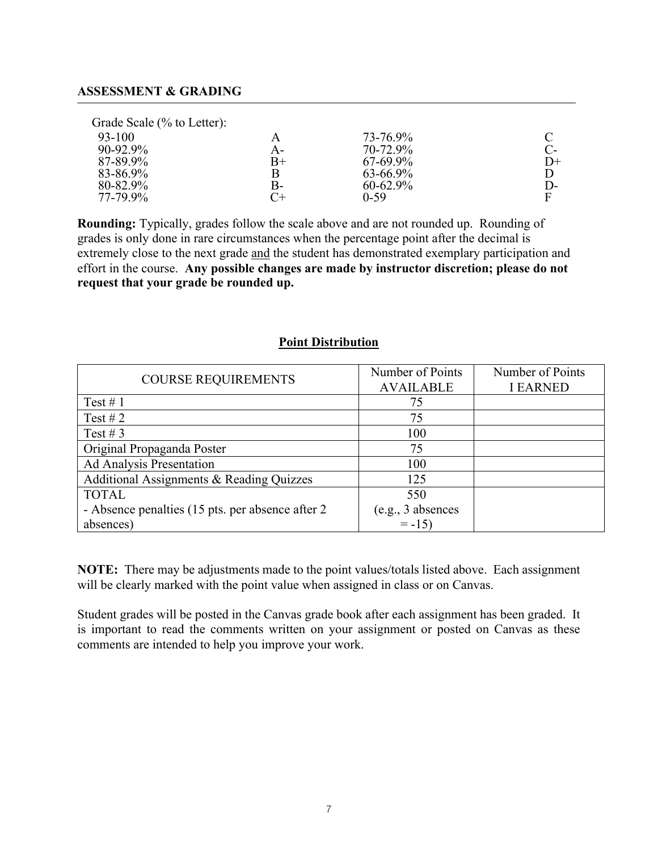#### **ASSESSMENT & GRADING**

Grade Scale (% to Letter):

| 93-100   | A           | 73-76.9%      |      |
|----------|-------------|---------------|------|
| 90-92.9% | А-          | 70-72.9%      |      |
| 87-89.9% | $_{\rm B+}$ | $67-69.9%$    | $D+$ |
| 83-86.9% | Β           | 63-66.9%      |      |
| 80-82.9% | B-          | $60 - 62.9\%$ | $D-$ |
| 77-79.9% | $C+$        | $0 - 59$      | F    |
|          |             |               |      |

**Rounding:** Typically, grades follow the scale above and are not rounded up. Rounding of grades is only done in rare circumstances when the percentage point after the decimal is extremely close to the next grade and the student has demonstrated exemplary participation and effort in the course. **Any possible changes are made by instructor discretion; please do not request that your grade be rounded up.**

#### **Point Distribution**

|                                                   | Number of Points  | Number of Points |
|---------------------------------------------------|-------------------|------------------|
| <b>COURSE REQUIREMENTS</b>                        | <b>AVAILABLE</b>  | <b>I EARNED</b>  |
| Test #1                                           | 75                |                  |
| Test #2                                           | 75                |                  |
| Test # $3$                                        | 100               |                  |
| Original Propaganda Poster                        | 75                |                  |
| Ad Analysis Presentation                          | 100               |                  |
| Additional Assignments & Reading Quizzes          | 125               |                  |
| <b>TOTAL</b>                                      | 550               |                  |
| - Absence penalties (15 pts. per absence after 2) | (e.g., 3 absences |                  |
| absences)                                         | $= -15$           |                  |

**NOTE:** There may be adjustments made to the point values/totals listed above. Each assignment will be clearly marked with the point value when assigned in class or on Canvas.

Student grades will be posted in the Canvas grade book after each assignment has been graded. It is important to read the comments written on your assignment or posted on Canvas as these comments are intended to help you improve your work.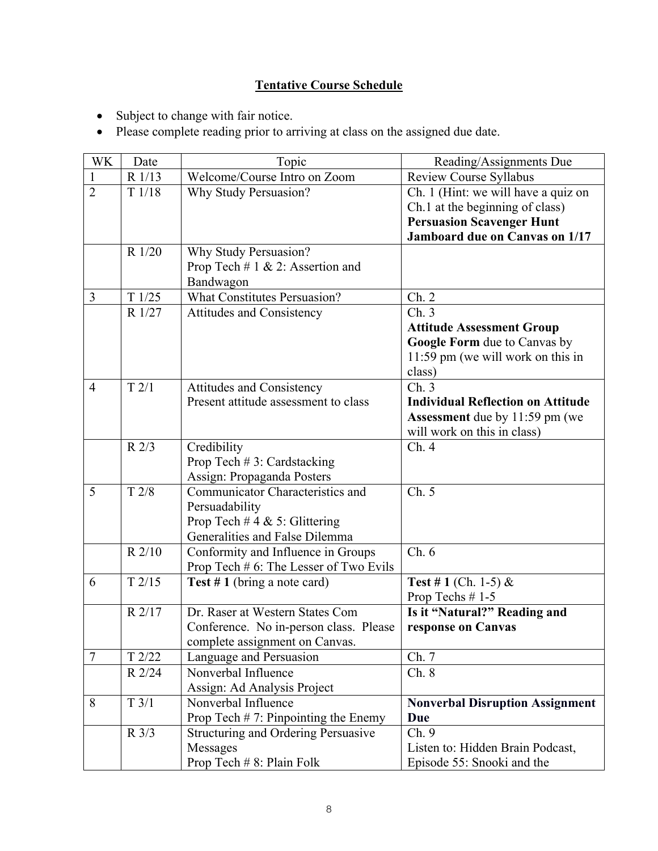# **Tentative Course Schedule**

- Subject to change with fair notice.
- Please complete reading prior to arriving at class on the assigned due date.

| WK             | Date            | Topic                                      | Reading/Assignments Due                  |
|----------------|-----------------|--------------------------------------------|------------------------------------------|
|                | R 1/13          | Welcome/Course Intro on Zoom               | Review Course Syllabus                   |
| $\overline{2}$ | T1/18           | Why Study Persuasion?                      | Ch. 1 (Hint: we will have a quiz on      |
|                |                 |                                            | Ch.1 at the beginning of class)          |
|                |                 |                                            | <b>Persuasion Scavenger Hunt</b>         |
|                |                 |                                            | Jamboard due on Canvas on 1/17           |
|                | R 1/20          | Why Study Persuasion?                      |                                          |
|                |                 | Prop Tech $# 1 & 2$ : Assertion and        |                                          |
|                |                 | Bandwagon                                  |                                          |
| 3              | T1/25           | <b>What Constitutes Persuasion?</b>        | Ch. 2                                    |
|                | R 1/27          | <b>Attitudes and Consistency</b>           | Ch.3                                     |
|                |                 |                                            | <b>Attitude Assessment Group</b>         |
|                |                 |                                            | Google Form due to Canvas by             |
|                |                 |                                            | 11:59 pm (we will work on this in        |
|                |                 |                                            | class)                                   |
| $\overline{4}$ | T2/1            | <b>Attitudes and Consistency</b>           | Ch.3                                     |
|                |                 | Present attitude assessment to class       | <b>Individual Reflection on Attitude</b> |
|                |                 |                                            | Assessment due by 11:59 pm (we           |
|                |                 |                                            | will work on this in class)              |
|                | $R$ 2/3         | Credibility                                | Ch.4                                     |
|                |                 | Prop Tech #3: Cardstacking                 |                                          |
|                |                 | Assign: Propaganda Posters                 |                                          |
| 5              | T 2/8           | Communicator Characteristics and           | Ch. 5                                    |
|                |                 | Persuadability                             |                                          |
|                |                 | Prop Tech #4 & 5: Glittering               |                                          |
|                |                 | Generalities and False Dilemma             |                                          |
|                | R 2/10          | Conformity and Influence in Groups         | Ch.6                                     |
|                |                 | Prop Tech # 6: The Lesser of Two Evils     |                                          |
| 6              | T2/15           | Test $# 1$ (bring a note card)             | <b>Test #1</b> (Ch. 1-5) &               |
|                |                 |                                            | Prop Techs $# 1-5$                       |
|                | R 2/17          | Dr. Raser at Western States Com            | Is it "Natural?" Reading and             |
|                |                 | Conference. No in-person class. Please     | response on Canvas                       |
|                |                 | complete assignment on Canvas.             |                                          |
| $\overline{7}$ | $T$ 2/22        | Language and Persuasion                    | Ch. 7                                    |
|                | R 2/24          | Nonverbal Influence                        | Ch. 8                                    |
|                |                 | Assign: Ad Analysis Project                |                                          |
| 8              | T3/1            | Nonverbal Influence                        | <b>Nonverbal Disruption Assignment</b>   |
|                |                 | Prop Tech $# 7$ : Pinpointing the Enemy    | Due                                      |
|                | $R \frac{3}{3}$ | <b>Structuring and Ordering Persuasive</b> | Ch.9                                     |
|                |                 | Messages                                   | Listen to: Hidden Brain Podcast,         |
|                |                 | Prop Tech # 8: Plain Folk                  | Episode 55: Snooki and the               |